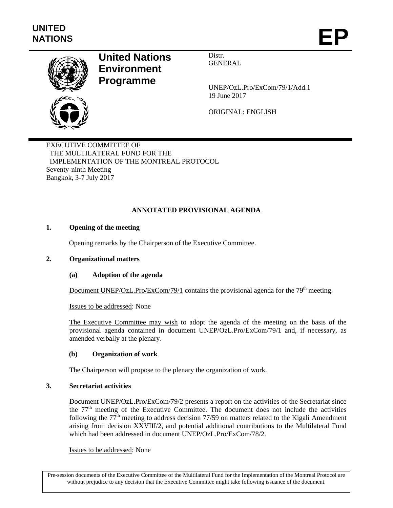

# **United Nations Environment Programme**

Distr. GENERAL

UNEP/OzL.Pro/ExCom/79/1/Add.1 19 June 2017

ORIGINAL: ENGLISH

EXECUTIVE COMMITTEE OF THE MULTILATERAL FUND FOR THE IMPLEMENTATION OF THE MONTREAL PROTOCOL Seventy-ninth Meeting Bangkok, 3-7 July 2017

# **ANNOTATED PROVISIONAL AGENDA**

# **1. Opening of the meeting**

Opening remarks by the Chairperson of the Executive Committee.

# **2. Organizational matters**

# **(a) Adoption of the agenda**

Document UNEP/OzL.Pro/ExCom/79/1 contains the provisional agenda for the  $79<sup>th</sup>$  meeting.

Issues to be addressed: None

The Executive Committee may wish to adopt the agenda of the meeting on the basis of the provisional agenda contained in document UNEP/OzL.Pro/ExCom/79/1 and, if necessary, as amended verbally at the plenary.

# **(b) Organization of work**

The Chairperson will propose to the plenary the organization of work.

# **3. Secretariat activities**

Document UNEP/OzL.Pro/ExCom/79/2 presents a report on the activities of the Secretariat since the  $77<sup>th</sup>$  meeting of the Executive Committee. The document does not include the activities following the  $77<sup>th</sup>$  meeting to address decision 77/59 on matters related to the Kigali Amendment arising from decision XXVIII/2, and potential additional contributions to the Multilateral Fund which had been addressed in document UNEP/OzL.Pro/ExCom/78/2.

Issues to be addressed: None

Pre-session documents of the Executive Committee of the Multilateral Fund for the Implementation of the Montreal Protocol are without prejudice to any decision that the Executive Committee might take following issuance of the document.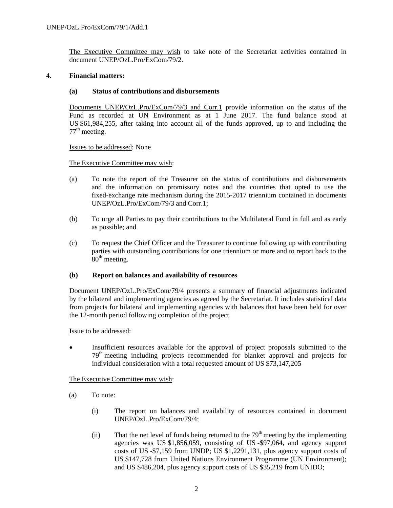The Executive Committee may wish to take note of the Secretariat activities contained in document UNEP/OzL.Pro/ExCom/79/2.

### **4. Financial matters:**

### **(a) Status of contributions and disbursements**

Documents UNEP/OzL.Pro/ExCom/79/3 and Corr.1 provide information on the status of the Fund as recorded at UN Environment as at 1 June 2017. The fund balance stood at US \$61,984,255, after taking into account all of the funds approved, up to and including the  $77<sup>th</sup>$  meeting.

Issues to be addressed: None

The Executive Committee may wish:

- (a) To note the report of the Treasurer on the status of contributions and disbursements and the information on promissory notes and the countries that opted to use the fixed-exchange rate mechanism during the 2015-2017 triennium contained in documents UNEP/OzL.Pro/ExCom/79/3 and Corr.1;
- (b) To urge all Parties to pay their contributions to the Multilateral Fund in full and as early as possible; and
- (c) To request the Chief Officer and the Treasurer to continue following up with contributing parties with outstanding contributions for one triennium or more and to report back to the  $80<sup>th</sup>$  meeting.

### **(b) Report on balances and availability of resources**

Document UNEP/OzL.Pro/ExCom/79/4 presents a summary of financial adjustments indicated by the bilateral and implementing agencies as agreed by the Secretariat. It includes statistical data from projects for bilateral and implementing agencies with balances that have been held for over the 12-month period following completion of the project.

Issue to be addressed:

 Insufficient resources available for the approval of project proposals submitted to the 79th meeting including projects recommended for blanket approval and projects for individual consideration with a total requested amount of US \$73,147,205

The Executive Committee may wish:

- (a) To note:
	- (i) The report on balances and availability of resources contained in document UNEP/OzL.Pro/ExCom/79/4;
	- (ii) That the net level of funds being returned to the  $79<sup>th</sup>$  meeting by the implementing agencies was US \$1,856,059, consisting of US -\$97,064, and agency support costs of US -\$7,159 from UNDP; US \$1,2291,131, plus agency support costs of US \$147,728 from United Nations Environment Programme (UN Environment); and US \$486,204, plus agency support costs of US \$35,219 from UNIDO;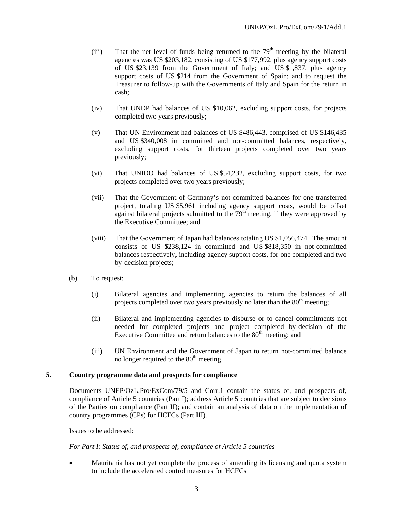- (iii) That the net level of funds being returned to the  $79<sup>th</sup>$  meeting by the bilateral agencies was US \$203,182, consisting of US \$177,992, plus agency support costs of US \$23,139 from the Government of Italy; and US \$1,837, plus agency support costs of US \$214 from the Government of Spain; and to request the Treasurer to follow-up with the Governments of Italy and Spain for the return in cash;
- (iv) That UNDP had balances of US \$10,062, excluding support costs, for projects completed two years previously;
- (v) That UN Environment had balances of US \$486,443, comprised of US \$146,435 and US \$340,008 in committed and not-committed balances, respectively, excluding support costs, for thirteen projects completed over two years previously;
- (vi) That UNIDO had balances of US \$54,232, excluding support costs, for two projects completed over two years previously;
- (vii) That the Government of Germany's not-committed balances for one transferred project, totaling US \$5,961 including agency support costs, would be offset against bilateral projects submitted to the  $79<sup>th</sup>$  meeting, if they were approved by the Executive Committee; and
- (viii) That the Government of Japan had balances totaling US \$1,056,474. The amount consists of US \$238,124 in committed and US \$818,350 in not-committed balances respectively, including agency support costs, for one completed and two by-decision projects;
- (b) To request:
	- (i) Bilateral agencies and implementing agencies to return the balances of all projects completed over two years previously no later than the  $80<sup>th</sup>$  meeting;
	- (ii) Bilateral and implementing agencies to disburse or to cancel commitments not needed for completed projects and project completed by-decision of the Executive Committee and return balances to the  $80<sup>th</sup>$  meeting; and
	- (iii) UN Environment and the Government of Japan to return not-committed balance no longer required to the  $80<sup>th</sup>$  meeting.

### **5. Country programme data and prospects for compliance**

Documents UNEP/OzL.Pro/ExCom/79/5 and Corr.1 contain the status of, and prospects of, compliance of Article 5 countries (Part I); address Article 5 countries that are subject to decisions of the Parties on compliance (Part II); and contain an analysis of data on the implementation of country programmes (CPs) for HCFCs (Part III).

Issues to be addressed:

*For Part I: Status of, and prospects of, compliance of Article 5 countries* 

 Mauritania has not yet complete the process of amending its licensing and quota system to include the accelerated control measures for HCFCs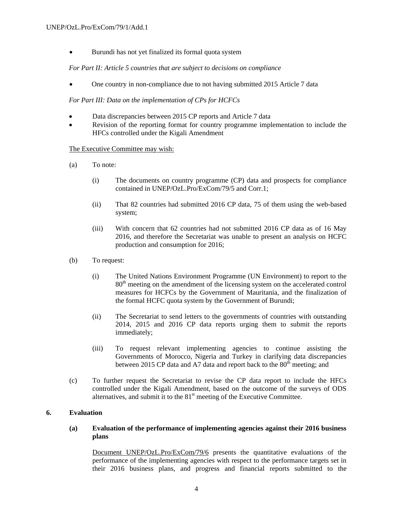• Burundi has not yet finalized its formal quota system

*For Part II: Article 5 countries that are subject to decisions on compliance* 

One country in non-compliance due to not having submitted 2015 Article 7 data

*For Part III: Data on the implementation of CPs for HCFCs* 

- Data discrepancies between 2015 CP reports and Article 7 data
- Revision of the reporting format for country programme implementation to include the HFCs controlled under the Kigali Amendment

#### The Executive Committee may wish:

- (a) To note:
	- (i) The documents on country programme (CP) data and prospects for compliance contained in UNEP/OzL.Pro/ExCom/79/5 and Corr.1;
	- (ii) That 82 countries had submitted 2016 CP data, 75 of them using the web-based system;
	- (iii) With concern that 62 countries had not submitted 2016 CP data as of 16 May 2016, and therefore the Secretariat was unable to present an analysis on HCFC production and consumption for 2016;
- (b) To request:
	- (i) The United Nations Environment Programme (UN Environment) to report to the 80<sup>th</sup> meeting on the amendment of the licensing system on the accelerated control measures for HCFCs by the Government of Mauritania, and the finalization of the formal HCFC quota system by the Government of Burundi;
	- (ii) The Secretariat to send letters to the governments of countries with outstanding 2014, 2015 and 2016 CP data reports urging them to submit the reports immediately;
	- (iii) To request relevant implementing agencies to continue assisting the Governments of Morocco, Nigeria and Turkey in clarifying data discrepancies between 2015 CP data and A7 data and report back to the  $80<sup>th</sup>$  meeting; and
- (c) To further request the Secretariat to revise the CP data report to include the HFCs controlled under the Kigali Amendment, based on the outcome of the surveys of ODS alternatives, and submit it to the  $81<sup>st</sup>$  meeting of the Executive Committee.

# **6. Evaluation**

# **(a) Evaluation of the performance of implementing agencies against their 2016 business plans**

Document UNEP/OzL.Pro/ExCom/79/6 presents the quantitative evaluations of the performance of the implementing agencies with respect to the performance targets set in their 2016 business plans, and progress and financial reports submitted to the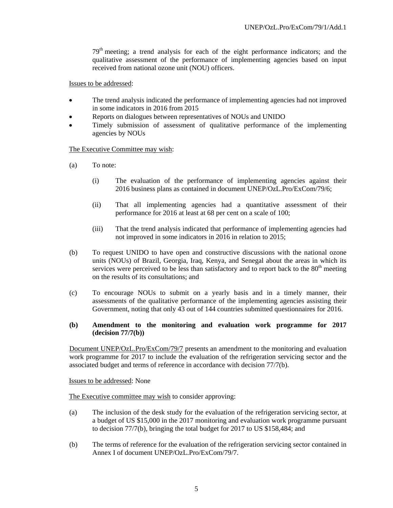79<sup>th</sup> meeting; a trend analysis for each of the eight performance indicators; and the qualitative assessment of the performance of implementing agencies based on input received from national ozone unit (NOU) officers.

Issues to be addressed:

- The trend analysis indicated the performance of implementing agencies had not improved in some indicators in 2016 from 2015
- Reports on dialogues between representatives of NOUs and UNIDO
- Timely submission of assessment of qualitative performance of the implementing agencies by NOUs

#### The Executive Committee may wish:

- (a) To note:
	- (i) The evaluation of the performance of implementing agencies against their 2016 business plans as contained in document UNEP/OzL.Pro/ExCom/79/6;
	- (ii) That all implementing agencies had a quantitative assessment of their performance for 2016 at least at 68 per cent on a scale of 100;
	- (iii) That the trend analysis indicated that performance of implementing agencies had not improved in some indicators in 2016 in relation to 2015;
- (b) To request UNIDO to have open and constructive discussions with the national ozone units (NOUs) of Brazil, Georgia, Iraq, Kenya, and Senegal about the areas in which its services were perceived to be less than satisfactory and to report back to the  $80<sup>th</sup>$  meeting on the results of its consultations; and
- (c) To encourage NOUs to submit on a yearly basis and in a timely manner, their assessments of the qualitative performance of the implementing agencies assisting their Government, noting that only 43 out of 144 countries submitted questionnaires for 2016.

### **(b) Amendment to the monitoring and evaluation work programme for 2017 (decision 77/7(b))**

Document UNEP/OzL.Pro/ExCom/79/7 presents an amendment to the monitoring and evaluation work programme for 2017 to include the evaluation of the refrigeration servicing sector and the associated budget and terms of reference in accordance with decision 77/7(b).

Issues to be addressed: None

The Executive committee may wish to consider approving:

- (a) The inclusion of the desk study for the evaluation of the refrigeration servicing sector, at a budget of US \$15,000 in the 2017 monitoring and evaluation work programme pursuant to decision 77/7(b), bringing the total budget for 2017 to US \$158,484; and
- (b) The terms of reference for the evaluation of the refrigeration servicing sector contained in Annex I of document UNEP/OzL.Pro/ExCom/79/7.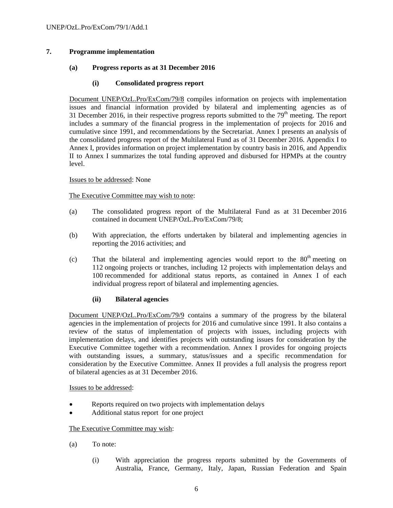# **7. Programme implementation**

# **(a) Progress reports as at 31 December 2016**

### **(i) Consolidated progress report**

Document UNEP/OzL.Pro/ExCom/79/8 compiles information on projects with implementation issues and financial information provided by bilateral and implementing agencies as of 31 December 2016, in their respective progress reports submitted to the  $79<sup>th</sup>$  meeting. The report includes a summary of the financial progress in the implementation of projects for 2016 and cumulative since 1991, and recommendations by the Secretariat. Annex I presents an analysis of the consolidated progress report of the Multilateral Fund as of 31 December 2016. Appendix I to Annex I, provides information on project implementation by country basis in 2016, and Appendix II to Annex I summarizes the total funding approved and disbursed for HPMPs at the country level.

#### Issues to be addressed: None

### The Executive Committee may wish to note:

- (a) The consolidated progress report of the Multilateral Fund as at 31 December 2016 contained in document UNEP/OzL.Pro/ExCom/79/8;
- (b) With appreciation, the efforts undertaken by bilateral and implementing agencies in reporting the 2016 activities; and
- (c) That the bilateral and implementing agencies would report to the  $80<sup>th</sup>$  meeting on 112 ongoing projects or tranches, including 12 projects with implementation delays and 100 recommended for additional status reports, as contained in Annex I of each individual progress report of bilateral and implementing agencies.

# **(ii) Bilateral agencies**

Document UNEP/OzL.Pro/ExCom/79/9 contains a summary of the progress by the bilateral agencies in the implementation of projects for 2016 and cumulative since 1991. It also contains a review of the status of implementation of projects with issues, including projects with implementation delays, and identifies projects with outstanding issues for consideration by the Executive Committee together with a recommendation. Annex I provides for ongoing projects with outstanding issues, a summary, status/issues and a specific recommendation for consideration by the Executive Committee. Annex II provides a full analysis the progress report of bilateral agencies as at 31 December 2016.

#### Issues to be addressed:

- Reports required on two projects with implementation delays
- Additional status report for one project

# The Executive Committee may wish:

- (a) To note:
	- (i) With appreciation the progress reports submitted by the Governments of Australia, France, Germany, Italy, Japan, Russian Federation and Spain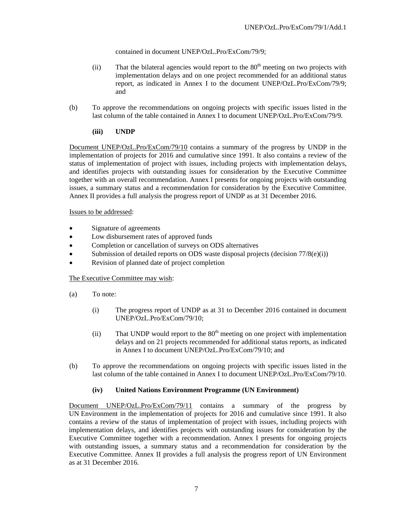contained in document UNEP/OzL.Pro/ExCom/79/9;

- (ii) That the bilateral agencies would report to the  $80<sup>th</sup>$  meeting on two projects with implementation delays and on one project recommended for an additional status report, as indicated in Annex I to the document UNEP/OzL.Pro/ExCom/79/9; and
- (b) To approve the recommendations on ongoing projects with specific issues listed in the last column of the table contained in Annex I to document UNEP/OzL.Pro/ExCom/79/9.

# **(iii) UNDP**

Document UNEP/OzL.Pro/ExCom/79/10 contains a summary of the progress by UNDP in the implementation of projects for 2016 and cumulative since 1991. It also contains a review of the status of implementation of project with issues, including projects with implementation delays, and identifies projects with outstanding issues for consideration by the Executive Committee together with an overall recommendation. Annex I presents for ongoing projects with outstanding issues, a summary status and a recommendation for consideration by the Executive Committee. Annex II provides a full analysis the progress report of UNDP as at 31 December 2016.

# Issues to be addressed:

- Signature of agreements
- Low disbursement rates of approved funds
- Completion or cancellation of surveys on ODS alternatives
- Submission of detailed reports on ODS waste disposal projects (decision 77/8(e)(i))
- Revision of planned date of project completion

# The Executive Committee may wish:

- (a) To note:
	- (i) The progress report of UNDP as at 31 to December 2016 contained in document UNEP/OzL.Pro/ExCom/79/10;
	- (ii) That UNDP would report to the  $80<sup>th</sup>$  meeting on one project with implementation delays and on 21 projects recommended for additional status reports, as indicated in Annex I to document UNEP/OzL.Pro/ExCom/79/10; and
- (b) To approve the recommendations on ongoing projects with specific issues listed in the last column of the table contained in Annex I to document UNEP/OzL.Pro/ExCom/79/10.

# **(iv) United Nations Environment Programme (UN Environment)**

Document UNEP/OzL.Pro/ExCom/79/11 contains a summary of the progress by UN Environment in the implementation of projects for 2016 and cumulative since 1991. It also contains a review of the status of implementation of project with issues, including projects with implementation delays, and identifies projects with outstanding issues for consideration by the Executive Committee together with a recommendation. Annex I presents for ongoing projects with outstanding issues, a summary status and a recommendation for consideration by the Executive Committee. Annex II provides a full analysis the progress report of UN Environment as at 31 December 2016.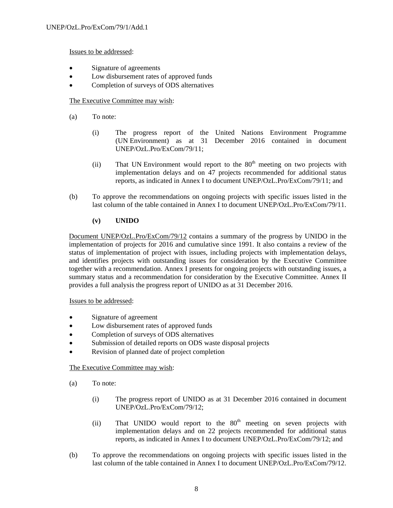Issues to be addressed:

- Signature of agreements
- Low disbursement rates of approved funds
- Completion of surveys of ODS alternatives

# The Executive Committee may wish:

- (a) To note:
	- (i) The progress report of the United Nations Environment Programme (UN Environment) as at 31 December 2016 contained in document UNEP/OzL.Pro/ExCom/79/11;
	- (ii) That UN Environment would report to the  $80<sup>th</sup>$  meeting on two projects with implementation delays and on 47 projects recommended for additional status reports, as indicated in Annex I to document UNEP/OzL.Pro/ExCom/79/11; and
- (b) To approve the recommendations on ongoing projects with specific issues listed in the last column of the table contained in Annex I to document UNEP/OzL.Pro/ExCom/79/11.

# **(v) UNIDO**

Document UNEP/OzL.Pro/ExCom/79/12 contains a summary of the progress by UNIDO in the implementation of projects for 2016 and cumulative since 1991. It also contains a review of the status of implementation of project with issues, including projects with implementation delays, and identifies projects with outstanding issues for consideration by the Executive Committee together with a recommendation. Annex I presents for ongoing projects with outstanding issues, a summary status and a recommendation for consideration by the Executive Committee. Annex II provides a full analysis the progress report of UNIDO as at 31 December 2016.

# Issues to be addressed:

- Signature of agreement
- Low disbursement rates of approved funds
- Completion of surveys of ODS alternatives
- Submission of detailed reports on ODS waste disposal projects
- Revision of planned date of project completion

# The Executive Committee may wish:

- (a) To note:
	- (i) The progress report of UNIDO as at 31 December 2016 contained in document UNEP/OzL.Pro/ExCom/79/12;
	- (ii) That UNIDO would report to the  $80<sup>th</sup>$  meeting on seven projects with implementation delays and on 22 projects recommended for additional status reports, as indicated in Annex I to document UNEP/OzL.Pro/ExCom/79/12; and
- (b) To approve the recommendations on ongoing projects with specific issues listed in the last column of the table contained in Annex I to document UNEP/OzL.Pro/ExCom/79/12.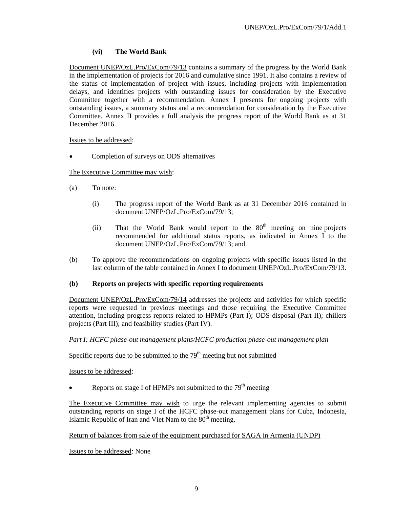# **(vi) The World Bank**

Document UNEP/OzL.Pro/ExCom/79/13 contains a summary of the progress by the World Bank in the implementation of projects for 2016 and cumulative since 1991. It also contains a review of the status of implementation of project with issues, including projects with implementation delays, and identifies projects with outstanding issues for consideration by the Executive Committee together with a recommendation. Annex I presents for ongoing projects with outstanding issues, a summary status and a recommendation for consideration by the Executive Committee. Annex II provides a full analysis the progress report of the World Bank as at 31 December 2016.

# Issues to be addressed:

Completion of surveys on ODS alternatives

# The Executive Committee may wish:

- (a) To note:
	- (i) The progress report of the World Bank as at 31 December 2016 contained in document UNEP/OzL.Pro/ExCom/79/13;
	- (ii) That the World Bank would report to the  $80<sup>th</sup>$  meeting on nine projects recommended for additional status reports, as indicated in Annex I to the document UNEP/OzL.Pro/ExCom/79/13; and
- (b) To approve the recommendations on ongoing projects with specific issues listed in the last column of the table contained in Annex I to document UNEP/OzL.Pro/ExCom/79/13.

# **(b) Reports on projects with specific reporting requirements**

Document UNEP/OzL.Pro/ExCom/79/14 addresses the projects and activities for which specific reports were requested in previous meetings and those requiring the Executive Committee attention, including progress reports related to HPMPs (Part I); ODS disposal (Part II); chillers projects (Part III); and feasibility studies (Part IV).

*Part I: HCFC phase-out management plans/HCFC production phase-out management plan* 

# Specific reports due to be submitted to the  $79<sup>th</sup>$  meeting but not submitted

Issues to be addressed:

Reports on stage I of HPMPs not submitted to the  $79<sup>th</sup>$  meeting

The Executive Committee may wish to urge the relevant implementing agencies to submit outstanding reports on stage I of the HCFC phase-out management plans for Cuba, Indonesia, Islamic Republic of Iran and Viet Nam to the  $80<sup>th</sup>$  meeting.

Return of balances from sale of the equipment purchased for SAGA in Armenia (UNDP)

Issues to be addressed: None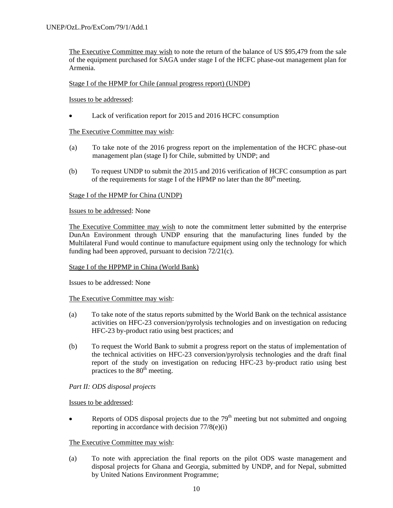The Executive Committee may wish to note the return of the balance of US \$95,479 from the sale of the equipment purchased for SAGA under stage I of the HCFC phase-out management plan for Armenia.

### Stage I of the HPMP for Chile (annual progress report) (UNDP)

Issues to be addressed:

Lack of verification report for 2015 and 2016 HCFC consumption

### The Executive Committee may wish:

- (a) To take note of the 2016 progress report on the implementation of the HCFC phase-out management plan (stage I) for Chile, submitted by UNDP; and
- (b) To request UNDP to submit the 2015 and 2016 verification of HCFC consumption as part of the requirements for stage I of the HPMP no later than the  $80<sup>th</sup>$  meeting.

### Stage I of the HPMP for China (UNDP)

#### Issues to be addressed: None

The Executive Committee may wish to note the commitment letter submitted by the enterprise DunAn Environment through UNDP ensuring that the manufacturing lines funded by the Multilateral Fund would continue to manufacture equipment using only the technology for which funding had been approved, pursuant to decision 72/21(c).

# Stage I of the HPPMP in China (World Bank)

Issues to be addressed: None

#### The Executive Committee may wish:

- (a) To take note of the status reports submitted by the World Bank on the technical assistance activities on HFC-23 conversion/pyrolysis technologies and on investigation on reducing HFC-23 by-product ratio using best practices; and
- (b) To request the World Bank to submit a progress report on the status of implementation of the technical activities on HFC-23 conversion/pyrolysis technologies and the draft final report of the study on investigation on reducing HFC-23 by-product ratio using best practices to the  $80<sup>th</sup>$  meeting.

# *Part II: ODS disposal projects*

#### Issues to be addressed:

Reports of ODS disposal projects due to the  $79<sup>th</sup>$  meeting but not submitted and ongoing reporting in accordance with decision 77/8(e)(i)

# The Executive Committee may wish:

(a) To note with appreciation the final reports on the pilot ODS waste management and disposal projects for Ghana and Georgia, submitted by UNDP, and for Nepal, submitted by United Nations Environment Programme;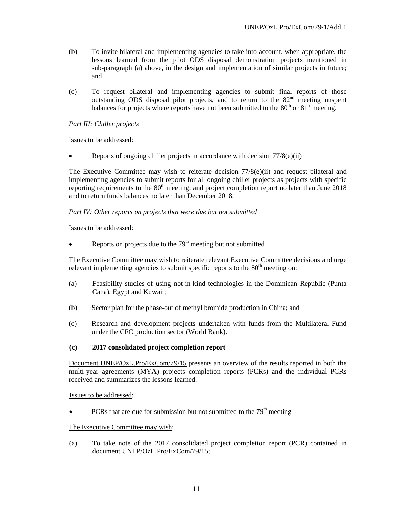- (b) To invite bilateral and implementing agencies to take into account, when appropriate, the lessons learned from the pilot ODS disposal demonstration projects mentioned in sub-paragraph (a) above, in the design and implementation of similar projects in future; and
- (c) To request bilateral and implementing agencies to submit final reports of those outstanding ODS disposal pilot projects, and to return to the 82<sup>nd</sup> meeting unspent balances for projects where reports have not been submitted to the  $80<sup>th</sup>$  or  $81<sup>st</sup>$  meeting.

# *Part III: Chiller projects*

Issues to be addressed:

Reports of ongoing chiller projects in accordance with decision 77/8(e)(ii)

The Executive Committee may wish to reiterate decision  $77/8$ (e)(ii) and request bilateral and implementing agencies to submit reports for all ongoing chiller projects as projects with specific reporting requirements to the  $80<sup>th</sup>$  meeting; and project completion report no later than June 2018 and to return funds balances no later than December 2018.

# *Part IV: Other reports on projects that were due but not submitted*

### Issues to be addressed:

Reports on projects due to the  $79<sup>th</sup>$  meeting but not submitted

The Executive Committee may wish to reiterate relevant Executive Committee decisions and urge relevant implementing agencies to submit specific reports to the  $80<sup>th</sup>$  meeting on:

- (a) Feasibility studies of using not-in-kind technologies in the Dominican Republic (Punta Cana), Egypt and Kuwait;
- (b) Sector plan for the phase-out of methyl bromide production in China; and
- (c) Research and development projects undertaken with funds from the Multilateral Fund under the CFC production sector (World Bank).

# **(c) 2017 consolidated project completion report**

Document UNEP/OzL.Pro/ExCom/79/15 presents an overview of the results reported in both the multi-year agreements (MYA) projects completion reports (PCRs) and the individual PCRs received and summarizes the lessons learned.

Issues to be addressed:

PCRs that are due for submission but not submitted to the  $79<sup>th</sup>$  meeting

# The Executive Committee may wish:

(a) To take note of the 2017 consolidated project completion report (PCR) contained in document UNEP/OzL.Pro/ExCom/79/15;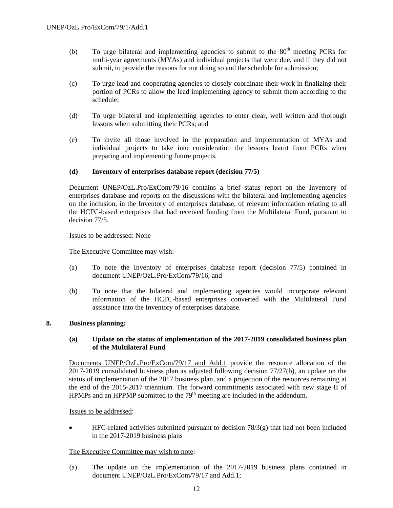- (b) To urge bilateral and implementing agencies to submit to the  $80<sup>th</sup>$  meeting PCRs for multi-year agreements (MYAs) and individual projects that were due, and if they did not submit, to provide the reasons for not doing so and the schedule for submission;
- (c) To urge lead and cooperating agencies to closely coordinate their work in finalizing their portion of PCRs to allow the lead implementing agency to submit them according to the schedule;
- (d) To urge bilateral and implementing agencies to enter clear, well written and thorough lessons when submitting their PCRs; and
- (e) To invite all those involved in the preparation and implementation of MYAs and individual projects to take into consideration the lessons learnt from PCRs when preparing and implementing future projects.

### **(d) Inventory of enterprises database report (decision 77/5)**

Document UNEP/OzL.Pro/ExCom/79/16 contains a brief status report on the Inventory of enterprises database and reports on the discussions with the bilateral and implementing agencies on the inclusion, in the Inventory of enterprises database, of relevant information relating to all the HCFC-based enterprises that had received funding from the Multilateral Fund, pursuant to decision 77/5.

### Issues to be addressed: None

The Executive Committee may wish:

- (a) To note the Inventory of enterprises database report (decision 77/5) contained in document UNEP/OzL.Pro/ExCom/79/16; and
- (b) To note that the bilateral and implementing agencies would incorporate relevant information of the HCFC-based enterprises converted with the Multilateral Fund assistance into the Inventory of enterprises database.

#### **8. Business planning:**

### **(a) Update on the status of implementation of the 2017-2019 consolidated business plan of the Multilateral Fund**

Documents UNEP/OzL.Pro/ExCom/79/17 and Add.1 provide the resource allocation of the 2017-2019 consolidated business plan as adjusted following decision 77/27(b), an update on the status of implementation of the 2017 business plan, and a projection of the resources remaining at the end of the 2015-2017 triennium. The forward commitments associated with new stage II of HPMPs and an HPPMP submitted to the 79<sup>th</sup> meeting are included in the addendum.

#### Issues to be addressed:

 HFC-related activities submitted pursuant to decision 78/3(g) that had not been included in the 2017-2019 business plans

#### The Executive Committee may wish to note:

(a) The update on the implementation of the 2017-2019 business plans contained in document UNEP/OzL.Pro/ExCom/79/17 and Add.1;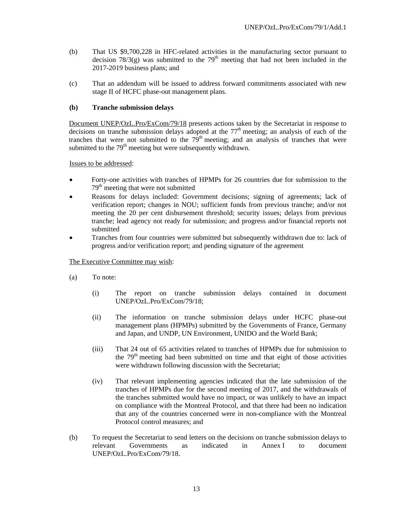- (b) That US \$9,700,228 in HFC-related activities in the manufacturing sector pursuant to decision  $78/3(g)$  was submitted to the  $79<sup>th</sup>$  meeting that had not been included in the 2017-2019 business plans; and
- (c) That an addendum will be issued to address forward commitments associated with new stage II of HCFC phase-out management plans.

# **(b) Tranche submission delays**

Document UNEP/OzL.Pro/ExCom/79/18 presents actions taken by the Secretariat in response to decisions on tranche submission delays adopted at the  $77<sup>th</sup>$  meeting; an analysis of each of the tranches that were not submitted to the  $79<sup>th</sup>$  meeting; and an analysis of tranches that were submitted to the 79<sup>th</sup> meeting but were subsequently withdrawn.

Issues to be addressed:

- Forty-one activities with tranches of HPMPs for 26 countries due for submission to the 79<sup>th</sup> meeting that were not submitted
- Reasons for delays included: Government decisions; signing of agreements; lack of verification report; changes in NOU; sufficient funds from previous tranche; and/or not meeting the 20 per cent disbursement threshold; security issues; delays from previous tranche; lead agency not ready for submission; and progress and/or financial reports not submitted
- Tranches from four countries were submitted but subsequently withdrawn due to: lack of progress and/or verification report; and pending signature of the agreement

# The Executive Committee may wish:

- (a) To note:
	- (i) The report on tranche submission delays contained in document UNEP/OzL.Pro/ExCom/79/18;
	- (ii) The information on tranche submission delays under HCFC phase-out management plans (HPMPs) submitted by the Governments of France, Germany and Japan, and UNDP, UN Environment, UNIDO and the World Bank;
	- (iii) That 24 out of 65 activities related to tranches of HPMPs due for submission to the  $79<sup>th</sup>$  meeting had been submitted on time and that eight of those activities were withdrawn following discussion with the Secretariat;
	- (iv) That relevant implementing agencies indicated that the late submission of the tranches of HPMPs due for the second meeting of 2017, and the withdrawals of the tranches submitted would have no impact, or was unlikely to have an impact on compliance with the Montreal Protocol, and that there had been no indication that any of the countries concerned were in non-compliance with the Montreal Protocol control measures; and
- (b) To request the Secretariat to send letters on the decisions on tranche submission delays to relevant Governments as indicated in Annex I to document UNEP/OzL.Pro/ExCom/79/18.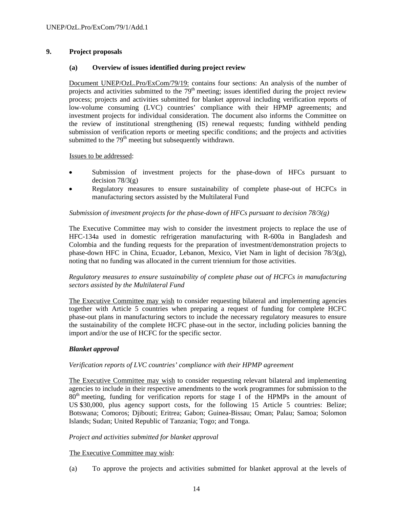# **9. Project proposals**

# **(a) Overview of issues identified during project review**

Document UNEP/OzL.Pro/ExCom/79/19: contains four sections: An analysis of the number of projects and activities submitted to the  $79<sup>th</sup>$  meeting; issues identified during the project review process; projects and activities submitted for blanket approval including verification reports of low-volume consuming (LVC) countries' compliance with their HPMP agreements; and investment projects for individual consideration. The document also informs the Committee on the review of institutional strengthening (IS) renewal requests; funding withheld pending submission of verification reports or meeting specific conditions; and the projects and activities submitted to the 79<sup>th</sup> meeting but subsequently withdrawn.

# Issues to be addressed:

- Submission of investment projects for the phase-down of HFCs pursuant to decision  $78/3(g)$
- Regulatory measures to ensure sustainability of complete phase-out of HCFCs in manufacturing sectors assisted by the Multilateral Fund

# *Submission of investment projects for the phase-down of HFCs pursuant to decision 78/3(g)*

The Executive Committee may wish to consider the investment projects to replace the use of HFC-134a used in domestic refrigeration manufacturing with R-600a in Bangladesh and Colombia and the funding requests for the preparation of investment/demonstration projects to phase-down HFC in China, Ecuador, Lebanon, Mexico, Viet Nam in light of decision 78/3(g), noting that no funding was allocated in the current triennium for those activities.

# *Regulatory measures to ensure sustainability of complete phase out of HCFCs in manufacturing sectors assisted by the Multilateral Fund*

The Executive Committee may wish to consider requesting bilateral and implementing agencies together with Article 5 countries when preparing a request of funding for complete HCFC phase-out plans in manufacturing sectors to include the necessary regulatory measures to ensure the sustainability of the complete HCFC phase-out in the sector, including policies banning the import and/or the use of HCFC for the specific sector.

# *Blanket approval*

# *Verification reports of LVC countries' compliance with their HPMP agreement*

The Executive Committee may wish to consider requesting relevant bilateral and implementing agencies to include in their respective amendments to the work programmes for submission to the  $80<sup>th</sup>$  meeting, funding for verification reports for stage I of the HPMPs in the amount of US \$30,000, plus agency support costs, for the following 15 Article 5 countries: Belize; Botswana; Comoros; Djibouti; Eritrea; Gabon; Guinea-Bissau; Oman; Palau; Samoa; Solomon Islands; Sudan; United Republic of Tanzania; Togo; and Tonga.

# *Project and activities submitted for blanket approval*

# The Executive Committee may wish:

(a) To approve the projects and activities submitted for blanket approval at the levels of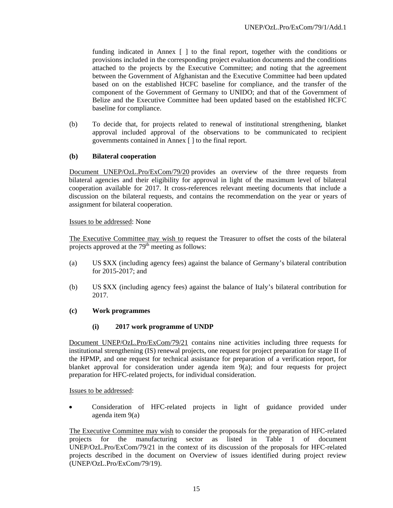funding indicated in Annex [ ] to the final report, together with the conditions or provisions included in the corresponding project evaluation documents and the conditions attached to the projects by the Executive Committee; and noting that the agreement between the Government of Afghanistan and the Executive Committee had been updated based on on the established HCFC baseline for compliance, and the transfer of the component of the Government of Germany to UNIDO; and that of the Government of Belize and the Executive Committee had been updated based on the established HCFC baseline for compliance.

(b) To decide that, for projects related to renewal of institutional strengthening, blanket approval included approval of the observations to be communicated to recipient governments contained in Annex [ ] to the final report.

# **(b) Bilateral cooperation**

Document UNEP/OzL.Pro/ExCom/79/20 provides an overview of the three requests from bilateral agencies and their eligibility for approval in light of the maximum level of bilateral cooperation available for 2017. It cross-references relevant meeting documents that include a discussion on the bilateral requests, and contains the recommendation on the year or years of assignment for bilateral cooperation.

# Issues to be addressed: None

The Executive Committee may wish to request the Treasurer to offset the costs of the bilateral projects approved at the  $79<sup>th</sup>$  meeting as follows:

- (a) US \$XX (including agency fees) against the balance of Germany's bilateral contribution for 2015-2017; and
- (b) US \$XX (including agency fees) against the balance of Italy's bilateral contribution for 2017.

# **(c) Work programmes**

# **(i) 2017 work programme of UNDP**

Document UNEP/OzL.Pro/ExCom/79/21 contains nine activities including three requests for institutional strengthening (IS) renewal projects, one request for project preparation for stage II of the HPMP, and one request for technical assistance for preparation of a verification report, for blanket approval for consideration under agenda item 9(a); and four requests for project preparation for HFC-related projects, for individual consideration.

Issues to be addressed:

 Consideration of HFC-related projects in light of guidance provided under agenda item 9(a)

The Executive Committee may wish to consider the proposals for the preparation of HFC-related projects for the manufacturing sector as listed in Table 1 of document UNEP/OzL.Pro/ExCom/79/21 in the context of its discussion of the proposals for HFC-related projects described in the document on Overview of issues identified during project review (UNEP/OzL.Pro/ExCom/79/19).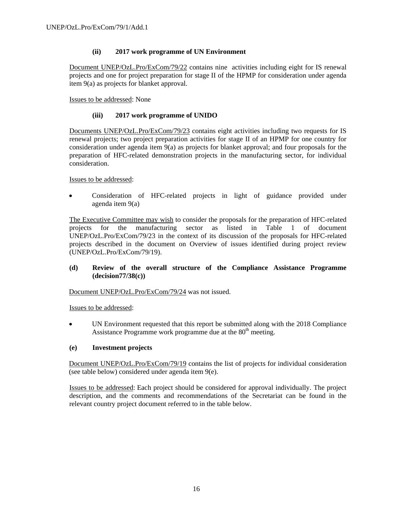# **(ii) 2017 work programme of UN Environment**

Document UNEP/OzL.Pro/ExCom/79/22 contains nine activities including eight for IS renewal projects and one for project preparation for stage II of the HPMP for consideration under agenda item 9(a) as projects for blanket approval.

Issues to be addressed: None

# **(iii) 2017 work programme of UNIDO**

Documents UNEP/OzL.Pro/ExCom/79/23 contains eight activities including two requests for IS renewal projects; two project preparation activities for stage II of an HPMP for one country for consideration under agenda item 9(a) as projects for blanket approval; and four proposals for the preparation of HFC-related demonstration projects in the manufacturing sector, for individual consideration.

Issues to be addressed:

 Consideration of HFC-related projects in light of guidance provided under agenda item 9(a)

The Executive Committee may wish to consider the proposals for the preparation of HFC-related projects for the manufacturing sector as listed in Table 1 of document UNEP/OzL.Pro/ExCom/79/23 in the context of its discussion of the proposals for HFC-related projects described in the document on Overview of issues identified during project review (UNEP/OzL.Pro/ExCom/79/19).

# **(d) Review of the overall structure of the Compliance Assistance Programme (decision77/38(c))**

Document UNEP/OzL.Pro/ExCom/79/24 was not issued.

Issues to be addressed:

 UN Environment requested that this report be submitted along with the 2018 Compliance Assistance Programme work programme due at the  $80<sup>th</sup>$  meeting.

# **(e) Investment projects**

Document UNEP/OzL.Pro/ExCom/79/19 contains the list of projects for individual consideration (see table below) considered under agenda item 9(e).

Issues to be addressed: Each project should be considered for approval individually. The project description, and the comments and recommendations of the Secretariat can be found in the relevant country project document referred to in the table below.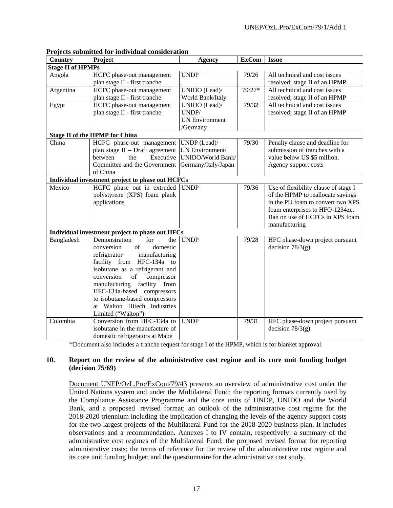| Country                                          | Project                                                    | <b>Agency</b>         | <b>ExCom</b> | <b>Issue</b>                         |
|--------------------------------------------------|------------------------------------------------------------|-----------------------|--------------|--------------------------------------|
| <b>Stage II of HPMPs</b>                         |                                                            |                       |              |                                      |
| Angola                                           | HCFC phase-out management                                  | <b>UNDP</b>           | 79/26        | All technical and cost issues        |
|                                                  | plan stage II - first tranche                              |                       |              | resolved; stage II of an HPMP        |
| Argentina                                        | HCFC phase-out management                                  | UNIDO (Lead)/         | $79/27*$     | All technical and cost issues        |
|                                                  | plan stage II - first tranche                              | World Bank/Italy      |              | resolved; stage II of an HPMP        |
| Egypt                                            | HCFC phase-out management                                  | UNIDO (Lead)/         | 79/32        | All technical and cost issues        |
|                                                  | plan stage II - first tranche                              | UNDP/                 |              | resolved; stage II of an HPMP        |
|                                                  |                                                            | <b>UN Environment</b> |              |                                      |
|                                                  |                                                            | /Germany              |              |                                      |
| <b>Stage II of the HPMP for China</b>            |                                                            |                       |              |                                      |
| China                                            | HCFC phase-out management UNDP (Lead)/                     |                       | 79/30        | Penalty clause and deadline for      |
|                                                  | plan stage II - Draft agreement                            | UN Environment/       |              | submission of tranches with a        |
|                                                  | between<br>Executive<br>the                                | UNIDO/World Bank/     |              | value below US \$5 million.          |
|                                                  | Committee and the Government                               | Germany/Italy/Japan   |              | Agency support costs                 |
|                                                  | of China                                                   |                       |              |                                      |
| Individual investment project to phase out HCFCs |                                                            |                       |              |                                      |
| Mexico                                           | HCFC phase out in extruded                                 | <b>UNDP</b>           | 79/36        | Use of flexibility clause of stage I |
|                                                  | polystyrene (XPS) foam plank                               |                       |              | of the HPMP to reallocate savings    |
|                                                  | applications                                               |                       |              | in the PU foam to convert two XPS    |
|                                                  |                                                            |                       |              | foam enterprises to HFO-1234ze.      |
|                                                  |                                                            |                       |              | Ban on use of HCFCs in XPS foam      |
|                                                  |                                                            |                       |              | manufacturing                        |
| Individual investment project to phase out HFCs  |                                                            |                       |              |                                      |
| Bangladesh                                       | Demonstration<br>for<br>the                                | <b>UNDP</b>           | 79/28        | HFC phase-down project pursuant      |
|                                                  | conversion<br>domestic<br>of                               |                       |              | decision $78/3(g)$                   |
|                                                  | refrigerator<br>manufacturing<br>facility from HFC-134a to |                       |              |                                      |
|                                                  | isobutane as a refrigerant and                             |                       |              |                                      |
|                                                  | compressor<br>conversion<br>of                             |                       |              |                                      |
|                                                  | manufacturing facility from                                |                       |              |                                      |
|                                                  | HFC-134a-based compressors                                 |                       |              |                                      |
|                                                  | to isobutane-based compressors                             |                       |              |                                      |
|                                                  | at Walton Hitech Industries                                |                       |              |                                      |
|                                                  | Limited ("Walton")                                         |                       |              |                                      |
| Colombia                                         | Conversion from HFC-134a to                                | <b>UNDP</b>           | 79/31        | HFC phase-down project pursuant      |
|                                                  | isobutane in the manufacture of                            |                       |              | decision $78/3(g)$                   |
|                                                  | domestic refrigerators at Mabe                             |                       |              |                                      |

#### **Projects submitted for individual consideration**

\*Document also includes a tranche request for stage I of the HPMP, which is for blanket approval.

# **10. Report on the review of the administrative cost regime and its core unit funding budget (decision 75/69)**

Document UNEP/OzL.Pro/ExCom/79/43 presents an overview of administrative cost under the United Nations system and under the Multilateral Fund; the reporting formats currently used by the Compliance Assistance Programme and the core units of UNDP, UNIDO and the World Bank, and a proposed revised format; an outlook of the administrative cost regime for the 2018-2020 triennium including the implication of changing the levels of the agency support costs for the two largest projects of the Multilateral Fund for the 2018-2020 business plan. It includes observations and a recommendation. Annexes I to IV contain, respectively: a summary of the administrative cost regimes of the Multilateral Fund; the proposed revised format for reporting administrative costs; the terms of reference for the review of the administrative cost regime and its core unit funding budget; and the questionnaire for the administrative cost study.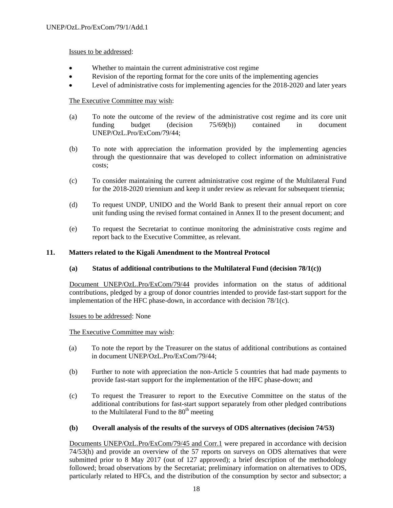# Issues to be addressed:

- Whether to maintain the current administrative cost regime
- Revision of the reporting format for the core units of the implementing agencies
- Level of administrative costs for implementing agencies for the 2018-2020 and later years

# The Executive Committee may wish:

- (a) To note the outcome of the review of the administrative cost regime and its core unit funding budget (decision 75/69(b)) contained in document UNEP/OzL.Pro/ExCom/79/44;
- (b) To note with appreciation the information provided by the implementing agencies through the questionnaire that was developed to collect information on administrative costs;
- (c) To consider maintaining the current administrative cost regime of the Multilateral Fund for the 2018-2020 triennium and keep it under review as relevant for subsequent triennia;
- (d) To request UNDP, UNIDO and the World Bank to present their annual report on core unit funding using the revised format contained in Annex II to the present document; and
- (e) To request the Secretariat to continue monitoring the administrative costs regime and report back to the Executive Committee, as relevant.

# **11. Matters related to the Kigali Amendment to the Montreal Protocol**

# **(a) Status of additional contributions to the Multilateral Fund (decision 78/1(c))**

Document UNEP/OzL.Pro/ExCom/79/44 provides information on the status of additional contributions, pledged by a group of donor countries intended to provide fast-start support for the implementation of the HFC phase-down, in accordance with decision 78/1(c).

Issues to be addressed: None

The Executive Committee may wish:

- (a) To note the report by the Treasurer on the status of additional contributions as contained in document UNEP/OzL.Pro/ExCom/79/44;
- (b) Further to note with appreciation the non-Article 5 countries that had made payments to provide fast-start support for the implementation of the HFC phase-down; and
- (c) To request the Treasurer to report to the Executive Committee on the status of the additional contributions for fast-start support separately from other pledged contributions to the Multilateral Fund to the  $80<sup>th</sup>$  meeting

# **(b) Overall analysis of the results of the surveys of ODS alternatives (decision 74/53)**

Documents UNEP/OzL.Pro/ExCom/79/45 and Corr.1 were prepared in accordance with decision 74/53(h) and provide an overview of the 57 reports on surveys on ODS alternatives that were submitted prior to 8 May 2017 (out of 127 approved); a brief description of the methodology followed; broad observations by the Secretariat; preliminary information on alternatives to ODS, particularly related to HFCs, and the distribution of the consumption by sector and subsector; a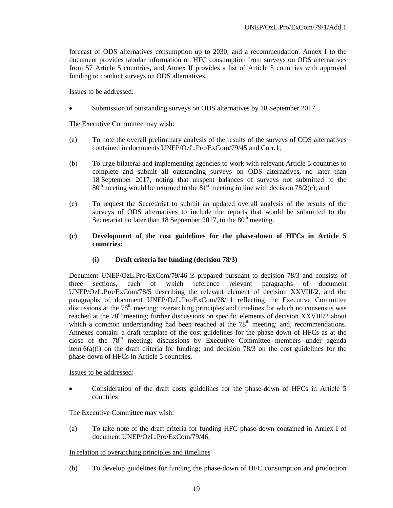forecast of ODS alternatives consumption up to 2030; and a recommendation. Annex I to the document provides tabular information on HFC consumption from surveys on ODS alternatives from 57 Article 5 countries, and Annex II provides a list of Article 5 countries with approved funding to conduct surveys on ODS alternatives.

### Issues to be addressed:

Submission of outstanding surveys on ODS alternatives by 18 September 2017

# The Executive Committee may wish:

- (a) To note the overall preliminary analysis of the results of the surveys of ODS alternatives contained in documents UNEP/OzL.Pro/ExCom/79/45 and Corr.1;
- (b) To urge bilateral and implementing agencies to work with relevant Article 5 countries to complete and submit all outstanding surveys on ODS alternatives, no later than 18 September 2017, noting that unspent balances of surveys not submitted to the  $80<sup>th</sup>$  meeting would be returned to the  $81<sup>st</sup>$  meeting in line with decision 78/2(c); and
- (c) To request the Secretariat to submit an updated overall analysis of the results of the surveys of ODS alternatives to include the reports that would be submitted to the Secretariat no later than 18 September 2017, to the  $80<sup>th</sup>$  meeting.

# **(c) Development of the cost guidelines for the phase-down of HFCs in Article 5 countries:**

# **(i) Draft criteria for funding (decision 78/3)**

Document UNEP/OzL.Pro/ExCom/79/46 is prepared pursuant to decision 78/3 and consists of three sections, each of which reference relevant paragraphs of document UNEP/OzL.Pro/ExCom/78/5 describing the relevant element of decision XXVIII/2, and the paragraphs of document UNEP/OzL.Pro/ExCom/78/11 reflecting the Executive Committee discussions at the 78<sup>th</sup> meeting: overarching principles and timelines for which no consensus was reached at the 78<sup>th</sup> meeting; further discussions on specific elements of decision XXVIII/2 about which a common understanding had been reached at the  $78<sup>th</sup>$  meeting; and, recommendations. Annexes contain: a draft template of the cost guidelines for the phase-down of HFCs as at the close of the  $78<sup>th</sup>$  meeting; discussions by Executive Committee members under agenda item  $6(a)(i)$  on the draft criteria for funding; and decision 78/3 on the cost guidelines for the phase-down of HFCs in Article 5 countries.

# Issues to be addressed:

 Consideration of the draft costs guidelines for the phase-down of HFCs in Article 5 countries

# The Executive Committee may wish:

(a) To take note of the draft criteria for funding HFC phase-down contained in Annex I of document UNEP/OzL.Pro/ExCom/79/46;

# In relation to overarching principles and timelines

(b) To develop guidelines for funding the phase-down of HFC consumption and production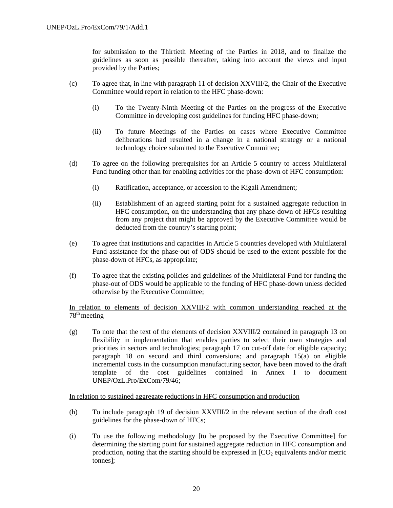for submission to the Thirtieth Meeting of the Parties in 2018, and to finalize the guidelines as soon as possible thereafter, taking into account the views and input provided by the Parties;

- (c) To agree that, in line with paragraph 11 of decision XXVIII/2, the Chair of the Executive Committee would report in relation to the HFC phase-down:
	- (i) To the Twenty-Ninth Meeting of the Parties on the progress of the Executive Committee in developing cost guidelines for funding HFC phase-down;
	- (ii) To future Meetings of the Parties on cases where Executive Committee deliberations had resulted in a change in a national strategy or a national technology choice submitted to the Executive Committee;
- (d) To agree on the following prerequisites for an Article 5 country to access Multilateral Fund funding other than for enabling activities for the phase-down of HFC consumption:
	- (i) Ratification, acceptance, or accession to the Kigali Amendment;
	- (ii) Establishment of an agreed starting point for a sustained aggregate reduction in HFC consumption, on the understanding that any phase-down of HFCs resulting from any project that might be approved by the Executive Committee would be deducted from the country's starting point;
- (e) To agree that institutions and capacities in Article 5 countries developed with Multilateral Fund assistance for the phase-out of ODS should be used to the extent possible for the phase-down of HFCs, as appropriate;
- (f) To agree that the existing policies and guidelines of the Multilateral Fund for funding the phase-out of ODS would be applicable to the funding of HFC phase-down unless decided otherwise by the Executive Committee;

In relation to elements of decision XXVIII/2 with common understanding reached at the  $78<sup>th</sup>$  meeting

(g) To note that the text of the elements of decision XXVIII/2 contained in paragraph 13 on flexibility in implementation that enables parties to select their own strategies and priorities in sectors and technologies; paragraph 17 on cut-off date for eligible capacity; paragraph 18 on second and third conversions; and paragraph 15(a) on eligible incremental costs in the consumption manufacturing sector, have been moved to the draft template of the cost guidelines contained in Annex I to document UNEP/OzL.Pro/ExCom/79/46;

In relation to sustained aggregate reductions in HFC consumption and production

- (h) To include paragraph 19 of decision XXVIII/2 in the relevant section of the draft cost guidelines for the phase-down of HFCs;
- (i) To use the following methodology [to be proposed by the Executive Committee] for determining the starting point for sustained aggregate reduction in HFC consumption and production, noting that the starting should be expressed in  $[CO<sub>2</sub>$  equivalents and/or metric tonnes];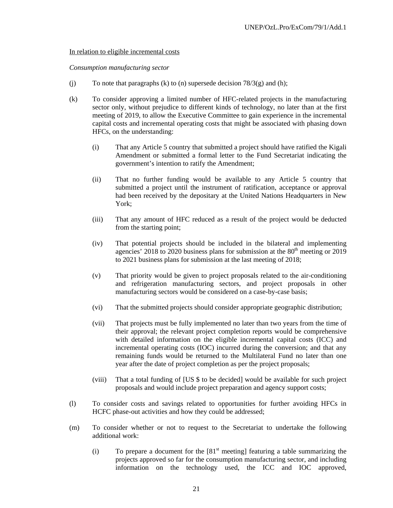#### In relation to eligible incremental costs

#### *Consumption manufacturing sector*

- (j) To note that paragraphs (k) to (n) supersede decision  $78/3(g)$  and (h);
- (k) To consider approving a limited number of HFC-related projects in the manufacturing sector only, without prejudice to different kinds of technology, no later than at the first meeting of 2019, to allow the Executive Committee to gain experience in the incremental capital costs and incremental operating costs that might be associated with phasing down HFCs, on the understanding:
	- (i) That any Article 5 country that submitted a project should have ratified the Kigali Amendment or submitted a formal letter to the Fund Secretariat indicating the government's intention to ratify the Amendment;
	- (ii) That no further funding would be available to any Article 5 country that submitted a project until the instrument of ratification, acceptance or approval had been received by the depositary at the United Nations Headquarters in New York;
	- (iii) That any amount of HFC reduced as a result of the project would be deducted from the starting point;
	- (iv) That potential projects should be included in the bilateral and implementing agencies' 2018 to 2020 business plans for submission at the  $80<sup>th</sup>$  meeting or 2019 to 2021 business plans for submission at the last meeting of 2018;
	- (v) That priority would be given to project proposals related to the air-conditioning and refrigeration manufacturing sectors, and project proposals in other manufacturing sectors would be considered on a case-by-case basis;
	- (vi) That the submitted projects should consider appropriate geographic distribution;
	- (vii) That projects must be fully implemented no later than two years from the time of their approval; the relevant project completion reports would be comprehensive with detailed information on the eligible incremental capital costs (ICC) and incremental operating costs (IOC) incurred during the conversion; and that any remaining funds would be returned to the Multilateral Fund no later than one year after the date of project completion as per the project proposals;
	- (viii) That a total funding of [US \$ to be decided] would be available for such project proposals and would include project preparation and agency support costs;
- (l) To consider costs and savings related to opportunities for further avoiding HFCs in HCFC phase-out activities and how they could be addressed;
- (m) To consider whether or not to request to the Secretariat to undertake the following additional work:
	- (i) To prepare a document for the  $[81<sup>st</sup>$  meeting] featuring a table summarizing the projects approved so far for the consumption manufacturing sector, and including information on the technology used, the ICC and IOC approved,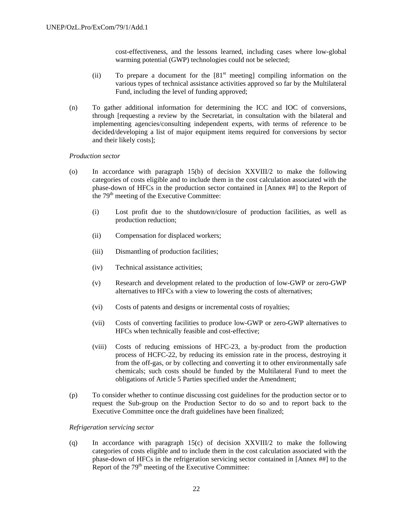cost-effectiveness, and the lessons learned, including cases where low-global warming potential (GWP) technologies could not be selected;

- (ii) To prepare a document for the  $[81<sup>st</sup>$  meeting] compiling information on the various types of technical assistance activities approved so far by the Multilateral Fund, including the level of funding approved;
- (n) To gather additional information for determining the ICC and IOC of conversions, through [requesting a review by the Secretariat, in consultation with the bilateral and implementing agencies/consulting independent experts, with terms of reference to be decided/developing a list of major equipment items required for conversions by sector and their likely costs];

#### *Production sector*

- (o) In accordance with paragraph 15(b) of decision XXVIII/2 to make the following categories of costs eligible and to include them in the cost calculation associated with the phase-down of HFCs in the production sector contained in [Annex ##] to the Report of the 79<sup>th</sup> meeting of the Executive Committee:
	- (i) Lost profit due to the shutdown/closure of production facilities, as well as production reduction;
	- (ii) Compensation for displaced workers;
	- (iii) Dismantling of production facilities;
	- (iv) Technical assistance activities;
	- (v) Research and development related to the production of low-GWP or zero-GWP alternatives to HFCs with a view to lowering the costs of alternatives;
	- (vi) Costs of patents and designs or incremental costs of royalties;
	- (vii) Costs of converting facilities to produce low-GWP or zero-GWP alternatives to HFCs when technically feasible and cost-effective;
	- (viii) Costs of reducing emissions of HFC-23, a by-product from the production process of HCFC-22, by reducing its emission rate in the process, destroying it from the off-gas, or by collecting and converting it to other environmentally safe chemicals; such costs should be funded by the Multilateral Fund to meet the obligations of Article 5 Parties specified under the Amendment;
- (p) To consider whether to continue discussing cost guidelines for the production sector or to request the Sub-group on the Production Sector to do so and to report back to the Executive Committee once the draft guidelines have been finalized;

#### *Refrigeration servicing sector*

(q) In accordance with paragraph 15(c) of decision XXVIII/2 to make the following categories of costs eligible and to include them in the cost calculation associated with the phase-down of HFCs in the refrigeration servicing sector contained in [Annex ##] to the Report of the  $79<sup>th</sup>$  meeting of the Executive Committee: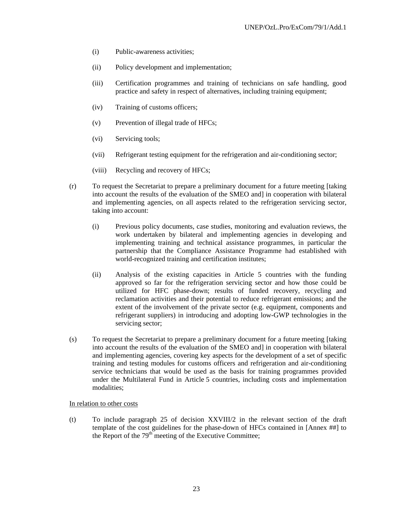- (i) Public-awareness activities;
- (ii) Policy development and implementation;
- (iii) Certification programmes and training of technicians on safe handling, good practice and safety in respect of alternatives, including training equipment;
- (iv) Training of customs officers;
- (v) Prevention of illegal trade of HFCs;
- (vi) Servicing tools;
- (vii) Refrigerant testing equipment for the refrigeration and air-conditioning sector;
- (viii) Recycling and recovery of HFCs;
- (r) To request the Secretariat to prepare a preliminary document for a future meeting [taking into account the results of the evaluation of the SMEO and] in cooperation with bilateral and implementing agencies, on all aspects related to the refrigeration servicing sector, taking into account:
	- (i) Previous policy documents, case studies, monitoring and evaluation reviews, the work undertaken by bilateral and implementing agencies in developing and implementing training and technical assistance programmes, in particular the partnership that the Compliance Assistance Programme had established with world-recognized training and certification institutes;
	- (ii) Analysis of the existing capacities in Article 5 countries with the funding approved so far for the refrigeration servicing sector and how those could be utilized for HFC phase-down; results of funded recovery, recycling and reclamation activities and their potential to reduce refrigerant emissions; and the extent of the involvement of the private sector (e.g. equipment, components and refrigerant suppliers) in introducing and adopting low-GWP technologies in the servicing sector;
- (s) To request the Secretariat to prepare a preliminary document for a future meeting [taking into account the results of the evaluation of the SMEO and] in cooperation with bilateral and implementing agencies, covering key aspects for the development of a set of specific training and testing modules for customs officers and refrigeration and air-conditioning service technicians that would be used as the basis for training programmes provided under the Multilateral Fund in Article 5 countries, including costs and implementation modalities;

#### In relation to other costs

(t) To include paragraph 25 of decision XXVIII/2 in the relevant section of the draft template of the cost guidelines for the phase-down of HFCs contained in [Annex ##] to the Report of the  $79<sup>th</sup>$  meeting of the Executive Committee;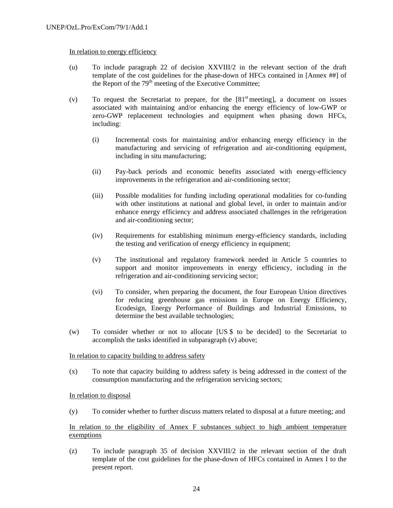### In relation to energy efficiency

- (u) To include paragraph 22 of decision XXVIII/2 in the relevant section of the draft template of the cost guidelines for the phase-down of HFCs contained in [Annex ##] of the Report of the  $79<sup>th</sup>$  meeting of the Executive Committee;
- (v) To request the Secretariat to prepare, for the  $[81<sup>st</sup>$  meeting], a document on issues associated with maintaining and/or enhancing the energy efficiency of low-GWP or zero-GWP replacement technologies and equipment when phasing down HFCs, including:
	- (i) Incremental costs for maintaining and/or enhancing energy efficiency in the manufacturing and servicing of refrigeration and air-conditioning equipment, including in situ manufacturing;
	- (ii) Pay-back periods and economic benefits associated with energy-efficiency improvements in the refrigeration and air-conditioning sector;
	- (iii) Possible modalities for funding including operational modalities for co-funding with other institutions at national and global level, in order to maintain and/or enhance energy efficiency and address associated challenges in the refrigeration and air-conditioning sector;
	- (iv) Requirements for establishing minimum energy-efficiency standards, including the testing and verification of energy efficiency in equipment;
	- (v) The institutional and regulatory framework needed in Article 5 countries to support and monitor improvements in energy efficiency, including in the refrigeration and air-conditioning servicing sector;
	- (vi) To consider, when preparing the document, the four European Union directives for reducing greenhouse gas emissions in Europe on Energy Efficiency, Ecodesign, Energy Performance of Buildings and Industrial Emissions, to determine the best available technologies;
- (w) To consider whether or not to allocate [US \$ to be decided] to the Secretariat to accomplish the tasks identified in subparagraph (v) above;

#### In relation to capacity building to address safety

(x) To note that capacity building to address safety is being addressed in the context of the consumption manufacturing and the refrigeration servicing sectors;

# In relation to disposal

(y) To consider whether to further discuss matters related to disposal at a future meeting; and

# In relation to the eligibility of Annex F substances subject to high ambient temperature exemptions

(z) To include paragraph 35 of decision XXVIII/2 in the relevant section of the draft template of the cost guidelines for the phase-down of HFCs contained in Annex I to the present report.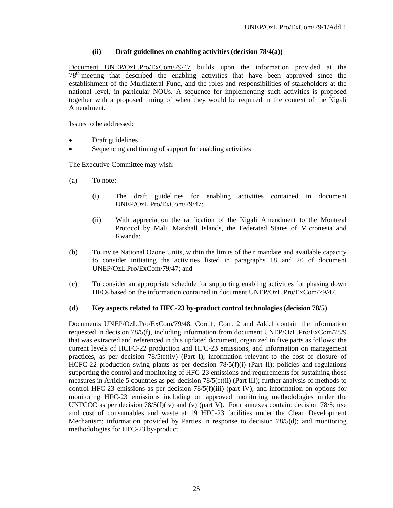# **(ii) Draft guidelines on enabling activities (decision 78/4(a))**

Document UNEP/OzL.Pro/ExCom/79/47 builds upon the information provided at the 78th meeting that described the enabling activities that have been approved since the establishment of the Multilateral Fund, and the roles and responsibilities of stakeholders at the national level, in particular NOUs. A sequence for implementing such activities is proposed together with a proposed timing of when they would be required in the context of the Kigali Amendment.

Issues to be addressed:

- Draft guidelines
- Sequencing and timing of support for enabling activities

# The Executive Committee may wish:

- (a) To note:
	- (i) The draft guidelines for enabling activities contained in document UNEP/OzL.Pro/ExCom/79/47;
	- (ii) With appreciation the ratification of the Kigali Amendment to the Montreal Protocol by Mali, Marshall Islands, the Federated States of Micronesia and Rwanda;
- (b) To invite National Ozone Units, within the limits of their mandate and available capacity to consider initiating the activities listed in paragraphs 18 and 20 of document UNEP/OzL.Pro/ExCom/79/47; and
- (c) To consider an appropriate schedule for supporting enabling activities for phasing down HFCs based on the information contained in document UNEP/OzL.Pro/ExCom/79/47.

# **(d) Key aspects related to HFC-23 by-product control technologies (decision 78/5)**

Documents UNEP/OzL.Pro/ExCom/79/48, Corr.1, Corr. 2 and Add.1 contain the information requested in decision 78/5(f), including information from document UNEP/OzL.Pro/ExCom/78/9 that was extracted and referenced in this updated document, organized in five parts as follows: the current levels of HCFC-22 production and HFC-23 emissions, and information on management practices, as per decision 78/5(f)(iv) (Part I); information relevant to the cost of closure of HCFC-22 production swing plants as per decision 78/5(f)(i) (Part II); policies and regulations supporting the control and monitoring of HFC-23 emissions and requirements for sustaining those measures in Article 5 countries as per decision 78/5(f)(ii) (Part III); further analysis of methods to control HFC-23 emissions as per decision  $78/5(f)(iii)$  (part IV); and information on options for monitoring HFC-23 emissions including on approved monitoring methodologies under the UNFCCC as per decision  $78/5(f)(iv)$  and (v) (part V). Four annexes contain: decision  $78/5$ ; use and cost of consumables and waste at 19 HFC-23 facilities under the Clean Development Mechanism; information provided by Parties in response to decision 78/5(d); and monitoring methodologies for HFC-23 by-product.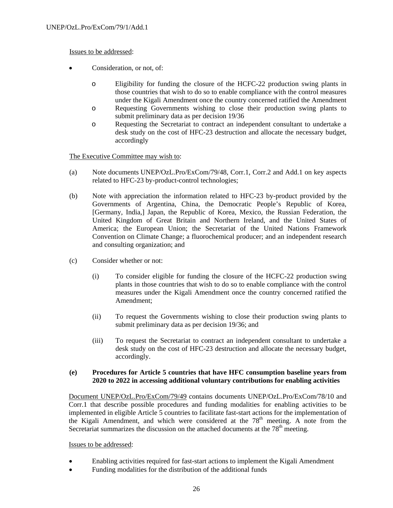# Issues to be addressed:

- Consideration, or not, of:
	- o Eligibility for funding the closure of the HCFC-22 production swing plants in those countries that wish to do so to enable compliance with the control measures under the Kigali Amendment once the country concerned ratified the Amendment
	- o Requesting Governments wishing to close their production swing plants to submit preliminary data as per decision 19/36
	- o Requesting the Secretariat to contract an independent consultant to undertake a desk study on the cost of HFC-23 destruction and allocate the necessary budget, accordingly

The Executive Committee may wish to:

- (a) Note documents UNEP/OzL.Pro/ExCom/79/48, Corr.1, Corr.2 and Add.1 on key aspects related to HFC-23 by-product-control technologies;
- (b) Note with appreciation the information related to HFC-23 by-product provided by the Governments of Argentina, China, the Democratic People's Republic of Korea, [Germany, India,] Japan, the Republic of Korea, Mexico, the Russian Federation, the United Kingdom of Great Britain and Northern Ireland, and the United States of America; the European Union; the Secretariat of the United Nations Framework Convention on Climate Change; a fluorochemical producer; and an independent research and consulting organization; and
- (c) Consider whether or not:
	- (i) To consider eligible for funding the closure of the HCFC-22 production swing plants in those countries that wish to do so to enable compliance with the control measures under the Kigali Amendment once the country concerned ratified the Amendment;
	- (ii) To request the Governments wishing to close their production swing plants to submit preliminary data as per decision 19/36; and
	- (iii) To request the Secretariat to contract an independent consultant to undertake a desk study on the cost of HFC-23 destruction and allocate the necessary budget, accordingly.

# **(e) Procedures for Article 5 countries that have HFC consumption baseline years from 2020 to 2022 in accessing additional voluntary contributions for enabling activities**

Document UNEP/OzL.Pro/ExCom/79/49 contains documents UNEP/OzL.Pro/ExCom/78/10 and Corr.1 that describe possible procedures and funding modalities for enabling activities to be implemented in eligible Article 5 countries to facilitate fast-start actions for the implementation of the Kigali Amendment, and which were considered at the  $78<sup>th</sup>$  meeting. A note from the Secretariat summarizes the discussion on the attached documents at the  $78<sup>th</sup>$  meeting.

# Issues to be addressed:

- Enabling activities required for fast-start actions to implement the Kigali Amendment
- Funding modalities for the distribution of the additional funds